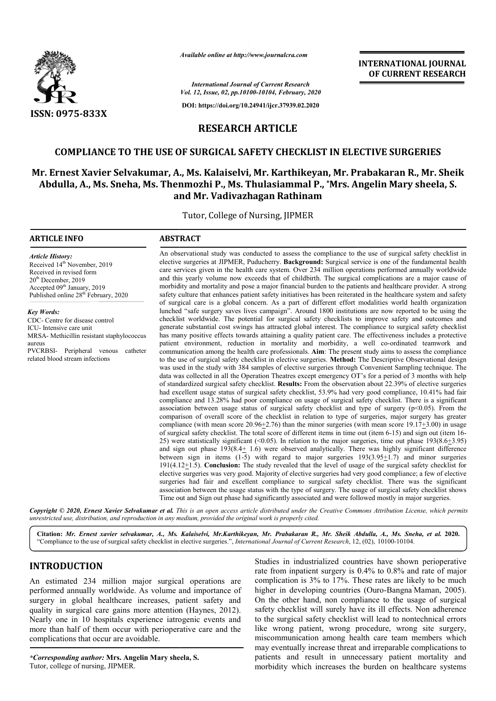

*Available online at http://www.journalcra.com*

*International Journal of Current Research Vol. 12, Issue, 02, pp.10100-10104, February, 2020*

**DOI: https://doi.org/10.24941/ijcr.37939.02.2020**

# **INTERNATIONAL JOURNAL OF CURRENT RESEARCH**

**RESEARCH ARTICLE**

## **COMPLIANCE TO THE USE OF SURGICAL SAFETY CHECKLIST IN ELECTIVE SURGERIES**

# **Mr. Ernest Xavier Selvakumar, A., Ms. Kalaiselvi, Mr. , Karthikeyan, Mr. Prabakaran R., Mr. Sheik**  r. Ernest Xavier Selvakumar, A., Ms. Kalaiselvi, Mr. Karthikeyan, Mr. Prabakaran R., Mr. Shei<br>Abdulla, A., Ms. Sneha, Ms. Thenmozhi P., Ms. Thulasiammal P., \*Mrs. Angelin Mary sheela, S. **and Mr. Vadivazhagan Rathinam**

Tutor, College of Nursing, JIPMER

#### **ARTICLE INFO ABSTRACT**

*Article History:* Received 14<sup>th</sup> November, 2019 Received in revised form 20th December, 2019 Accepted 09<sup>th</sup> January, 2019 Published online 28<sup>th</sup> February, 2020

*Key Words:* CDC- Centre for disease control ICU- Intensive care unit MRSA- Methicillin resistant staphylococcus aureus PVCRBSI- Peripheral venous catheter related blood stream infections

An observational study was conducted to assess the compliance to the use of surgical safety checklist in elective surgeries at JIPMER, Puducherry. **Background:** Surgical service is one of the fundamental health care services given in the health care system. Over 234 million operations performed annually worldwide and this yearly volume now exceeds that of childbirth. The surgical complications are a major cause of An observational study was conducted to assess the compliance to the use of surgical safety checklist in elective surgeries at JIPMER, Puducherry. **Background:** Surgical service is one of the fundamental health care servic safety culture that enhances patient safety initiatives has been reiterated in the healthcare system and safety of surgical care is a global concern. As a part of different effort modalities world health organization lunched "safe surgery saves lives campaign". Around 1800 institutions are now reported to be using the checklist worldwide. The potential for surgical safety checklists to improve safety and outcomes and generate substantial cost swings has attracted global interest. The compliance has many positive effects towards attaining a quality patient care. The effectiveness includes a protective has many positive effects towards attaining a quality patient care. The effectiveness includes a protective patient environment, reduction in mortality and morbidity, a well co-ordinated teamwork and communication among the health care professionals. Aim: The present study aims to assess the compliance to the use of surgical safety checklist in elective surgeries. **Method:** The Descriptive Observational design communication among the health care professionals. **Aim**: The present study aims to assess the compliance to the use of surgical safety checklist in elective surgeries. **Method:** The Descriptive Observational design was us data was collected in all the Operation Theatres except emergency OT's for a period of 3 months with help of standardized surgical safety checklist. **Results:** From the observation about 22.39% of elective surgeries had excellent usage status of surgical safety checklist, 53.9% had very good compliance, 10.41% had fair compliance and 13.28% had poor compliance on usage of surgical safety checklist. There is a significant association between usage status of surgical safety checklist and type of surgery  $(p<0.05)$ . From the comparison of overall score of the checklist in relation to type of surgeries, major surgery has greater compliance (with mean score  $20.96 \pm 2.76$ ) than the minor surgeries (with mean score 19.17 of surgical safety checklist. The total score of different items in time out (item 6-15) and sign out (item 16-25) were statistically significant (<0.05). In relation to the major surgeries, time out phase  $193(8.6\pm3.95)$ and sign out phase  $193(8.4 \pm 1.6)$  were observed analytically. There was highly significant difference and sign out phase  $193(8.4 \pm 1.6)$  were observed analytically. There was highly significant difference between sign in items  $(1-5)$  with regard to major surgeries  $193(3.95 \pm 1.7)$  and minor surgeries 191( $4.12 \pm 1.5$ ). **Conclusion:** The study revealed that the level of usage of the surgical safety checklist for elective surgeries was very good. Majority of elective surgeries had very good compliance; a few of elective surgeries had fair and excellent compliance to surgical safety checklist. There was the significant association between the usage status with the type of surgery. The usage of surgical safety checklist shows Time out and Sign out phase had significantly associated and were followed mostly in major surgeries. safety culture that enhances patient safety initiatives has been reiterated in the healthcare system and safety<br>of surgical care is a global concern. As a part of different effort modalities world health organization<br>lunch data was collected in all the Operation Theatres except emergency OT's for a period of 3 months with help<br>of standardized surgical safety checklist. **Results:** From the observation about 22.39% of elective surgeries<br>had ex elective surgeries was very good. Majority of elective surgeries had very good compliance; a few of elective surgeries had fair and excellent compliance to surgical safety checklist. There was the significant association b **INTERNATIONAL JOURNAL EXPREDIX (CONTRIBUTE SET (CONTRIBUTE SET (CONTRIBUTE)**<br> **CONTRIBUTE: CONTRIBUTE SET (CONTRIBUTE SET (CONTRIBUTE)**<br> **CONTRIBUTE: ETY CHECKLIST IN ELECTIVE SURGERIES**<br> **CONTRIBUTE: ETY CHECKLIST** 

Copyright © 2020, Ernest Xavier Selvakumar et al. This is an open access article distributed under the Creative Commons Attribution License, which permits *unrestricted use, distribution, and reproduction in any medium, provided the original work is properly cited.*

**Citation:** *Mr. Ernest xavier selvakumar, A., Ms. Kalaiselvi, Mr.Karthikeyan, Mr. Prabakaran R., Mr. Sheik Abdulla, A. Mr.Karthikeyan, A., Ms. Sneha, et al.* **2020.** "Compliance to the use of surgical safety checklist in elective surgeries.", *International Journal of Current Research*, 12, (02), 10100-10104.

# **INTRODUCTION**

An estimated 234 million major surgical operations are performed annually worldwide. As volume and importance of surgery in global healthcare increases, patient safety and quality in surgical care gains more attention (Haynes, 2012). Nearly one in 10 hospitals experience iatrogenic events and more than half of them occur with perioperative care and the complications that occur are avoidable.

*\*Corresponding author:* **Mrs. Angelin Mary sheela, S.** Tutor, college of nursing, JIPMER.

Studies in industrialized countries have shown perioperative<br>rate from inpatient surgery is 0.4% to 0.8% and rate of major<br>ldwide. As volume and importance of higher in developing countries (Ouro-Bangna Maman, 2005).<br>thear rate from inpatient surgery is 0.4% to 0.8% and rate of major complication is 3% to 17%. These rates are likely to be much Studies in industrialized countries have shown perioperative<br>rate from inpatient surgery is 0.4% to 0.8% and rate of major<br>complication is 3% to 17%. These rates are likely to be much<br>higher in developing countries (Ouro-B On the other hand, non compliance to the usage of surgical safety checklist will surely have its ill effects. Non adherence to the surgical safety checklist will lead to nontechnical errors like wrong patient, wrong procedure, wrong site surgery, miscommunication among health care team members w may eventually increase threat and irreparable complications to patients and result in unnecessary patient mortality and morbidity which increases the burden on healthcare systems its ill effects. Non adherence<br>ill lead to nontechnical errors<br>cedure, wrong site surgery,<br>1 care team members which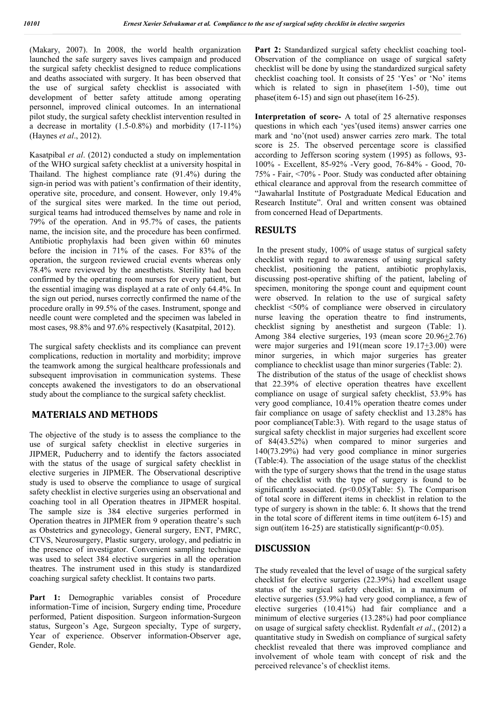(Makary, 2007). In 2008, the world health organization launched the safe surgery saves lives campaign and produced the surgical safety checklist designed to reduce complications and deaths associated with surgery. It has been observed that the use of surgical safety checklist is associated with development of better safety attitude among operating personnel, improved clinical outcomes. In an international pilot study, the surgical safety checklist intervention resulted in a decrease in mortality (1.5-0.8%) and morbidity (17-11%) (Haynes *et al*., 2012).

Kasatpibal *et al*. (2012) conducted a study on implementation of the WHO surgical safety checklist at a university hospital in Thailand. The highest compliance rate (91.4%) during the sign-in period was with patient's confirmation of their identity, operative site, procedure, and consent. However, only 19.4% of the surgical sites were marked. In the time out period, surgical teams had introduced themselves by name and role in 79% of the operation. And in 95.7% of cases, the patients name, the incision site, and the procedure has been confirmed. Antibiotic prophylaxis had been given within 60 minutes before the incision in 71% of the cases. For 83% of the operation, the surgeon reviewed crucial events whereas only 78.4% were reviewed by the anesthetists. Sterility had been confirmed by the operating room nurses for every patient, but the essential imaging was displayed at a rate of only 64.4%. In the sign out period, nurses correctly confirmed the name of the procedure orally in 99.5% of the cases. Instrument, sponge and needle count were completed and the specimen was labeled in most cases, 98.8% and 97.6% respectively (Kasatpital, 2012).

The surgical safety checklists and its compliance can prevent complications, reduction in mortality and morbidity; improve the teamwork among the surgical healthcare professionals and subsequent improvisation in communication systems. These concepts awakened the investigators to do an observational study about the compliance to the surgical safety checklist.

## **MATERIALS AND METHODS**

The objective of the study is to assess the compliance to the use of surgical safety checklist in elective surgeries in JIPMER, Puducherry and to identify the factors associated with the status of the usage of surgical safety checklist in elective surgeries in JIPMER. The Observational descriptive study is used to observe the compliance to usage of surgical safety checklist in elective surgeries using an observational and coaching tool in all Operation theatres in JIPMER hospital. The sample size is 384 elective surgeries performed in Operation theatres in JIPMER from 9 operation theatre's such as Obstetrics and gynecology, General surgery, ENT, PMRC, CTVS, Neurosurgery, Plastic surgery, urology, and pediatric in the presence of investigator. Convenient sampling technique was used to select 384 elective surgeries in all the operation theatres. The instrument used in this study is standardized coaching surgical safety checklist. It contains two parts.

Part 1: Demographic variables consist of Procedure information-Time of incision, Surgery ending time, Procedure performed, Patient disposition. Surgeon information-Surgeon status, Surgeon's Age, Surgeon specialty, Type of surgery, Year of experience. Observer information-Observer age, Gender, Role.

Part 2: Standardized surgical safety checklist coaching tool-Observation of the compliance on usage of surgical safety checklist will be done by using the standardized surgical safety checklist coaching tool. It consists of 25 'Yes' or 'No' items which is related to sign in phase(item 1-50), time out phase(item 6-15) and sign out phase(item 16-25).

**Interpretation of score-** A total of 25 alternative responses questions in which each 'yes'(used items) answer carries one mark and 'no'(not used) answer carries zero mark. The total score is 25. The observed percentage score is classified according to Jefferson scoring system (1995) as follows, 93- 100% - Excellent, 85-92% -Very good, 76-84% - Good, 70- 75% - Fair, <70% - Poor. Study was conducted after obtaining ethical clearance and approval from the research committee of "Jawaharlal Institute of Postgraduate Medical Education and Research Institute". Oral and written consent was obtained from concerned Head of Departments.

#### **RESULTS**

In the present study, 100% of usage status of surgical safety checklist with regard to awareness of using surgical safety checklist, positioning the patient, antibiotic prophylaxis, discussing post-operative shifting of the patient, labeling of specimen, monitoring the sponge count and equipment count were observed. In relation to the use of surgical safety checklist <50% of compliance were observed in circulatory nurse leaving the operation theatre to find instruments, checklist signing by anesthetist and surgeon (Table: 1). Among 384 elective surgeries, 193 (mean score 20.96+2.76) were major surgeries and 191(mean score 19.17+3.00) were minor surgeries, in which major surgeries has greater compliance to checklist usage than minor surgeries (Table: 2).

The distribution of the status of the usage of checklist shows that 22.39% of elective operation theatres have excellent compliance on usage of surgical safety checklist, 53.9% has very good compliance, 10.41% operation theatre comes under fair compliance on usage of safety checklist and 13.28% has poor compliance(Table:3). With regard to the usage status of surgical safety checklist in major surgeries had excellent score of 84(43.52%) when compared to minor surgeries and 140(73.29%) had very good compliance in minor surgeries (Table:4). The association of the usage status of the checklist with the type of surgery shows that the trend in the usage status of the checklist with the type of surgery is found to be significantly associated.  $(p<0.05)$ (Table: 5). The Comparison of total score in different items in checklist in relation to the type of surgery is shown in the table: 6. It shows that the trend in the total score of different items in time out(item 6-15) and sign out(item 16-25) are statistically significant( $p$ <0.05).

## **DISCUSSION**

The study revealed that the level of usage of the surgical safety checklist for elective surgeries (22.39%) had excellent usage status of the surgical safety checklist, in a maximum of elective surgeries (53.9%) had very good compliance, a few of elective surgeries (10.41%) had fair compliance and a minimum of elective surgeries (13.28%) had poor compliance on usage of surgical safety checklist. Rydenfalt *et al*., (2012) a quantitative study in Swedish on compliance of surgical safety checklist revealed that there was improved compliance and involvement of whole team with concept of risk and the perceived relevance's of checklist items.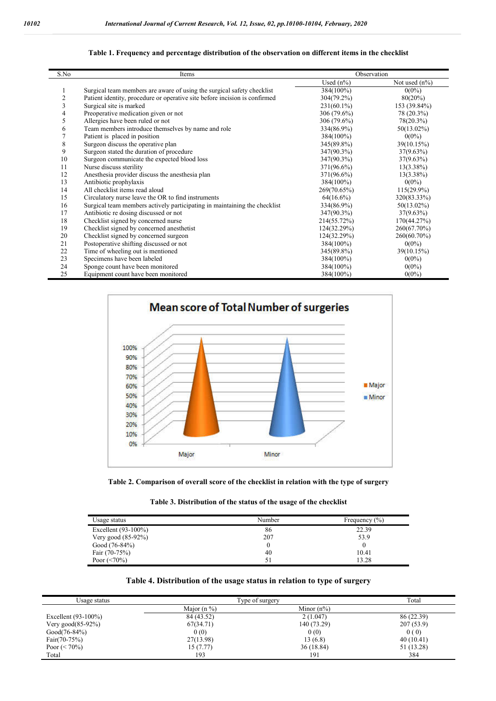| S.No | Items                                                                      | Observation  |                  |
|------|----------------------------------------------------------------------------|--------------|------------------|
|      |                                                                            | Used $(n\%)$ | Not used $(n\%)$ |
| 1    | Surgical team members are aware of using the surgical safety checklist     | 384(100%)    | $0(0\%)$         |
| 2    | Patient identity, procedure or operative site before incision is confirmed | 304(79.2%)   | 80(20%)          |
| 3    | Surgical site is marked                                                    | 231(60.1%)   | 153 (39.84%)     |
| 4    | Preoperative medication given or not                                       | 306 (79.6%)  | 78 (20.3%)       |
| 5    | Allergies have been ruled or not                                           | 306 (79.6%)  | 78(20.3%)        |
| 6    | Team members introduce themselves by name and role                         | 334(86.9%)   | $50(13.02\%)$    |
| 7    | Patient is placed in position                                              | 384(100%)    | $0(0\%)$         |
| 8    | Surgeon discuss the operative plan                                         | 345(89.8%)   | 39(10.15%)       |
| 9    | Surgeon stated the duration of procedure                                   | 347(90.3%)   | $37(9.63\%)$     |
| 10   | Surgeon communicate the expected blood loss                                | 347(90.3%)   | $37(9.63\%)$     |
| 11   | Nurse discuss sterility                                                    | 371(96.6%)   | $13(3.38\%)$     |
| 12   | Anesthesia provider discuss the anesthesia plan                            | 371(96.6%)   | $13(3.38\%)$     |
| 13   | Antibiotic prophylaxis                                                     | 384(100%)    | $0(0\%)$         |
| 14   | All checklist items read aloud                                             | 269(70.65%)  | $115(29.9\%)$    |
| 15   | Circulatory nurse leave the OR to find instruments                         | $64(16.6\%)$ | 320(83.33%)      |
| 16   | Surgical team members actively participating in maintaining the checklist  | 334(86.9%)   | $50(13.02\%)$    |
| 17   | Antibiotic re dosing discussed or not                                      | 347(90.3%)   | $37(9.63\%)$     |
| 18   | Checklist signed by concerned nurse                                        | 214(55.72%)  | 170(44.27%)      |
| 19   | Checklist signed by concerned anesthetist                                  | 124(32.29%)  | 260(67.70%)      |
| 20   | Checklist signed by concerned surgeon                                      | 124(32.29%)  | 260(60.70%)      |
| 21   | Postoperative shifting discussed or not                                    | 384(100%)    | $0(0\%)$         |
| 22   | Time of wheeling out is mentioned                                          | 345(89.8%)   | 39(10.15%)       |
| 23   | Specimens have been labeled                                                | 384(100%)    | $0(0\%)$         |
| 24   | Sponge count have been monitored                                           | 384(100%)    | $0(0\%)$         |
| 25   | Equipment count have been monitored                                        | 384(100%)    | $0(0\%)$         |

#### **Table 1. Frequency and percentage distribution of the observation on different items in the checklist**





**Table 3. Distribution of the status of the usage of the checklist**

| Usage status           | Number | Frequency $(\% )$ |
|------------------------|--------|-------------------|
| Excellent $(93-100\%)$ | 86     | 22.39             |
| Very good $(85-92%)$   | 207    | 53.9              |
| Good $(76-84%)$        |        |                   |
| Fair $(70-75%)$        | 40     | 10.41             |
| Poor $(< 70\%)$        | 51     | 13.28             |

#### **Table 4. Distribution of the usage status in relation to type of surgery**

| Usage status           | Type of surgery |               | Total      |
|------------------------|-----------------|---------------|------------|
|                        | Major $(n\%)$   | Minor $(n\%)$ |            |
| Excellent $(93-100\%)$ | 84 (43.52)      | 2(1.047)      | 86 (22.39) |
| Very good $(85-92\%)$  | 67(34.71)       | 140 (73.29)   | 207(53.9)  |
| $Good(76-84%)$         | 0(0)            | 0(0)          | 0(0)       |
| $Fair(70-75%)$         | 27(13.98)       | 13(6.8)       | 40(10.41)  |
| Poor $(< 70\%)$        | 15 (7.77)       | 36 (18.84)    | 51 (13.28) |
| Total                  | 193             | 191           | 384        |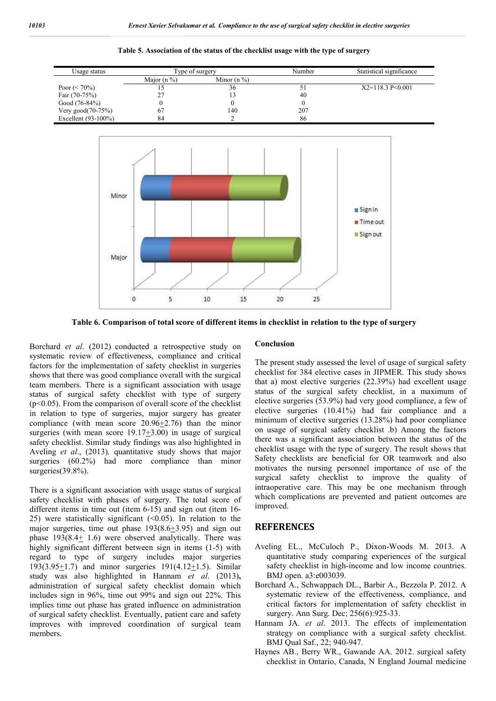

**Table 5. Association of the status of the checklist usage with the type of surgery**

**Table 6. Comparison of total score of different items in checklist in relation to the type of surgery**

Borchard *et al*. (2012) conducted a retrospective study on systematic review of effectiveness, compliance and critical factors for the implementation of safety checklist in surgeries shows that there was good compliance overall with the surgical team members. There is a significant association with usage status of surgical safety checklist with type of surgery  $(p<0.05)$ . From the comparison of overall score of the checklist in relation to type of surgeries, major surgery has greater compliance (with mean score  $20.96 \pm 2.76$ ) than the minor surgeries (with mean score 19.17+3.00) in usage of surgical safety checklist. Similar study findings was also highlighted in Aveling *et al*., (2013)*,* quantitative study shows that major surgeries (60.2%) had more compliance than minor surgeries(39.8%).

There is a significant association with usage status of surgical safety checklist with phases of surgery. The total score of different items in time out (item 6-15) and sign out (item 16-25) were statistically significant  $( $0.05$ ). In relation to the$ major surgeries, time out phase  $193(8.6 \pm 3.95)$  and sign out phase 193(8.4+ 1.6) were observed analytically. There was highly significant different between sign in items (1-5) with regard to type of surgery includes major surgeries 193(3.95+1.7) and minor surgeries 191(4.12+1.5). Similar study was also highlighted in Hannam *et al*. (2013)**,** administration of surgical safety checklist domain which includes sign in 96%, time out 99% and sign out 22%. This implies time out phase has grated influence on administration of surgical safety checklist. Eventually, patient care and safety improves with improved coordination of surgical team members.

#### **Conclusion**

The present study assessed the level of usage of surgical safety checklist for 384 elective cases in JIPMER. This study shows that a) most elective surgeries (22.39%) had excellent usage status of the surgical safety checklist, in a maximum of elective surgeries (53.9%) had very good compliance, a few of elective surgeries (10.41%) had fair compliance and a minimum of elective surgeries (13.28%) had poor compliance on usage of surgical safety checklist .b) Among the factors there was a significant association between the status of the checklist usage with the type of surgery. The result shows that Safety checklists are beneficial for OR teamwork and also motivates the nursing personnel importance of use of the surgical safety checklist to improve the quality of intraoperative care. This may be one mechanism through which complications are prevented and patient outcomes are improved.

## **REFERENCES**

- Aveling EL., McCuloch P., Dixon-Woods M. 2013. A quantitative study comparing experiences of the surgical safety checklist in high-income and low income countries. BMJ open. a3:e003039.
- Borchard A., Schwappach DL., Barbir A., Bezzola P. 2012. A systematic review of the effectiveness, compliance, and critical factors for implementation of safety checklist in surgery. Ann Surg. Dec; 256(6):925-33.
- Hannam JA. *et al*. 2013. The effects of implementation strategy on compliance with a surgical safety checklist. BMJ Qual Saf., 22; 940-947.
- Haynes AB., Berry WR., Gawande AA. 2012. surgical safety checklist in Ontario, Canada, N England Journal medicine